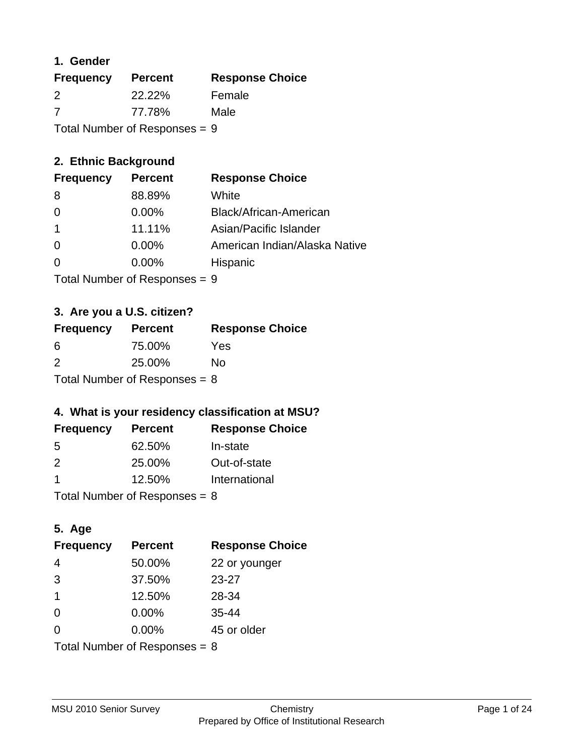## **1. Gender**

| <b>Frequency</b>                | <b>Percent</b> | <b>Response Choice</b> |
|---------------------------------|----------------|------------------------|
| 2                               | 22.22%         | Female                 |
| 7                               | 77.78%         | Male                   |
| Total Number of Responses = $9$ |                |                        |

## **2. Ethnic Background**

| <b>Frequency</b> | <b>Percent</b> | <b>Response Choice</b>        |
|------------------|----------------|-------------------------------|
| 8                | 88.89%         | White                         |
| $\Omega$         | $0.00\%$       | Black/African-American        |
|                  | 11.11%         | Asian/Pacific Islander        |
| $\Omega$         | $0.00\%$       | American Indian/Alaska Native |
|                  | $0.00\%$       | Hispanic                      |
|                  |                |                               |

Total Number of Responses = 9

## **3. Are you a U.S. citizen?**

| <b>Frequency</b>                | <b>Percent</b> | <b>Response Choice</b> |
|---------------------------------|----------------|------------------------|
| -6                              | 75.00%         | Yes                    |
| 2                               | 25.00%         | Nο                     |
| Total Number of Responses = $8$ |                |                        |

## **4. What is your residency classification at MSU?**

| <b>Frequency</b> | <b>Percent</b> | <b>Response Choice</b> |
|------------------|----------------|------------------------|
| .5               | 62.50%         | In-state               |
| 2                | 25.00%         | Out-of-state           |
|                  | 12.50%         | International          |
|                  |                |                        |

Total Number of Responses = 8

## **5. Age**

| <b>Frequency</b>                | <b>Percent</b> | <b>Response Choice</b> |
|---------------------------------|----------------|------------------------|
| $\overline{4}$                  | 50.00%         | 22 or younger          |
| 3                               | 37.50%         | $23 - 27$              |
| $\overline{1}$                  | 12.50%         | 28-34                  |
| $\Omega$                        | 0.00%          | $35 - 44$              |
| $\Omega$                        | 0.00%          | 45 or older            |
| Total Number of Responses = $8$ |                |                        |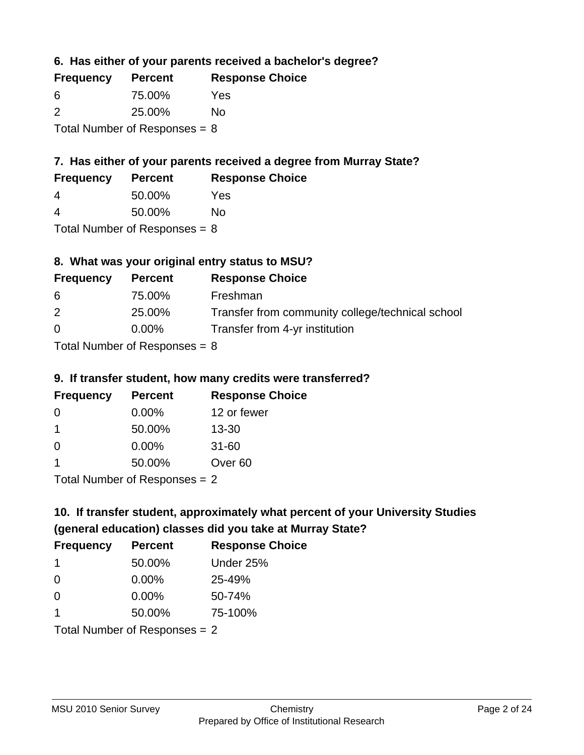**6. Has either of your parents received a bachelor's degree?**

| <b>Frequency</b>                | <b>Percent</b> | <b>Response Choice</b> |
|---------------------------------|----------------|------------------------|
| 6                               | 75.00%         | Yes                    |
| $\mathcal{P}$                   | 25.00%         | No                     |
| Total Number of Responses = $8$ |                |                        |

## **7. Has either of your parents received a degree from Murray State?**

| <b>Frequency</b> | <b>Percent</b> | <b>Response Choice</b> |
|------------------|----------------|------------------------|
| 4                | 50.00%         | Yes                    |

| 4 | 50.00% | No |
|---|--------|----|

Total Number of Responses = 8

## **8. What was your original entry status to MSU?**

| <b>Frequency</b> | <b>Percent</b>                                      | <b>Response Choice</b>                           |
|------------------|-----------------------------------------------------|--------------------------------------------------|
| -6               | 75.00%                                              | Freshman                                         |
| 2                | 25.00%                                              | Transfer from community college/technical school |
| $\Omega$         | $0.00\%$                                            | Transfer from 4-yr institution                   |
|                  | $T_{\text{right}}$ Messless of Designation $\alpha$ |                                                  |

Total Number of Responses = 8

#### **9. If transfer student, how many credits were transferred?**

| <b>Frequency</b>               | <b>Percent</b> | <b>Response Choice</b> |
|--------------------------------|----------------|------------------------|
| -0                             | $0.00\%$       | 12 or fewer            |
| 1                              | 50.00%         | $13 - 30$              |
| 0                              | $0.00\%$       | $31 - 60$              |
| 1                              | 50.00%         | Over <sub>60</sub>     |
| $Total Number of Denances = 2$ |                |                        |

Total Number of Responses = 2

# **10. If transfer student, approximately what percent of your University Studies (general education) classes did you take at Murray State?**

| <b>Frequency</b>                | <b>Percent</b> | <b>Response Choice</b> |
|---------------------------------|----------------|------------------------|
| -1                              | 50.00%         | Under 25%              |
| $\Omega$                        | $0.00\%$       | 25-49%                 |
| $\Omega$                        | $0.00\%$       | 50-74%                 |
| 1                               | 50.00%         | 75-100%                |
| Total Number of Responses $= 2$ |                |                        |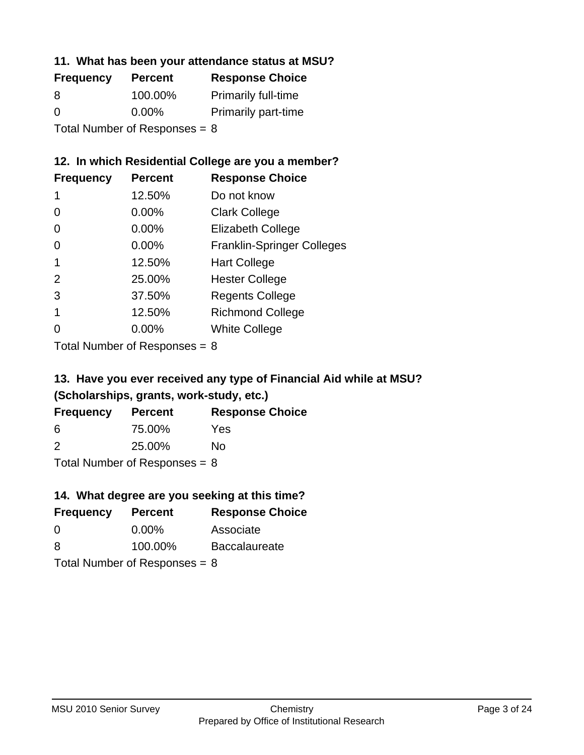### **11. What has been your attendance status at MSU?**

| <b>Frequency</b> | <b>Percent</b>                  | <b>Response Choice</b>     |
|------------------|---------------------------------|----------------------------|
| 8                | 100.00%                         | <b>Primarily full-time</b> |
| 0                | $0.00\%$                        | <b>Primarily part-time</b> |
|                  | Total Number of Responses = $8$ |                            |

## **12. In which Residential College are you a member?**

| <b>Frequency</b> | <b>Percent</b> | <b>Response Choice</b>            |
|------------------|----------------|-----------------------------------|
| 1                | 12.50%         | Do not know                       |
| 0                | 0.00%          | <b>Clark College</b>              |
| 0                | 0.00%          | <b>Elizabeth College</b>          |
| 0                | $0.00\%$       | <b>Franklin-Springer Colleges</b> |
|                  | 12.50%         | <b>Hart College</b>               |
| 2                | 25.00%         | <b>Hester College</b>             |
| 3                | 37.50%         | <b>Regents College</b>            |
|                  | 12.50%         | <b>Richmond College</b>           |
|                  | $0.00\%$       | <b>White College</b>              |

Total Number of Responses = 8

## **13. Have you ever received any type of Financial Aid while at MSU? (Scholarships, grants, work-study, etc.)**

| <b>Frequency</b>                | <b>Percent</b> | <b>Response Choice</b> |
|---------------------------------|----------------|------------------------|
| 6                               | 75.00%         | Yes                    |
| $\mathcal{P}$                   | 25.00%         | Nο                     |
| Total Number of Responses = $8$ |                |                        |

**14. What degree are you seeking at this time?**

| <b>Frequency</b> | <b>Percent</b>                  | <b>Response Choice</b> |
|------------------|---------------------------------|------------------------|
| 0                | $0.00\%$                        | Associate              |
| 8                | 100.00%                         | <b>Baccalaureate</b>   |
|                  | Total Number of Responses = $8$ |                        |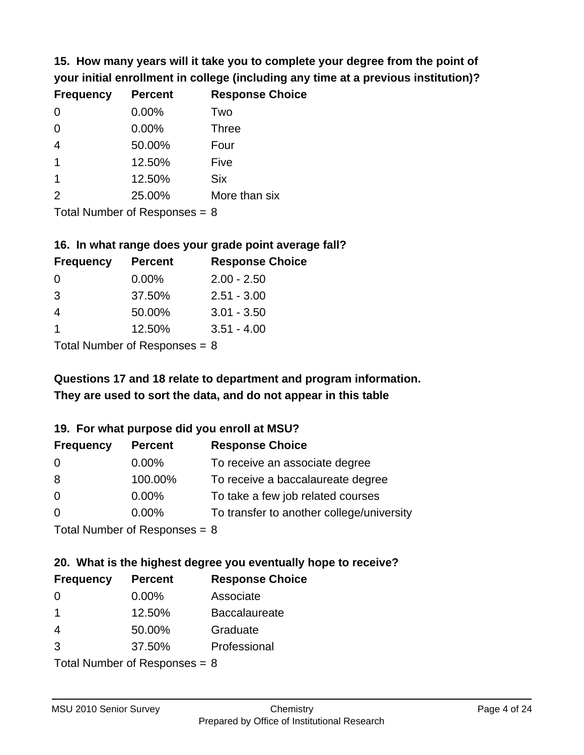**15. How many years will it take you to complete your degree from the point of your initial enrollment in college (including any time at a previous institution)?**

| <b>Frequency</b> | <b>Percent</b> | <b>Response Choice</b> |
|------------------|----------------|------------------------|
| $\Omega$         | 0.00%          | Two                    |
| 0                | 0.00%          | <b>Three</b>           |
| $\overline{4}$   | 50.00%         | Four                   |
| $\overline{1}$   | 12.50%         | Five                   |
| $\mathbf 1$      | 12.50%         | <b>Six</b>             |
| 2                | 25.00%         | More than six          |
|                  |                |                        |

Total Number of Responses = 8

#### **16. In what range does your grade point average fall?**

| <b>Frequency</b> | <b>Percent</b> | <b>Response Choice</b> |
|------------------|----------------|------------------------|
| 0                | 0.00%          | $2.00 - 2.50$          |
| 3                | 37.50%         | $2.51 - 3.00$          |
| 4                | 50.00%         | $3.01 - 3.50$          |
|                  | 12.50%         | $3.51 - 4.00$          |
|                  |                |                        |

Total Number of Responses = 8

# **They are used to sort the data, and do not appear in this table Questions 17 and 18 relate to department and program information.**

#### **19. For what purpose did you enroll at MSU?**

| <b>Frequency</b>            | <b>Percent</b> | <b>Response Choice</b>                    |
|-----------------------------|----------------|-------------------------------------------|
| 0                           | $0.00\%$       | To receive an associate degree            |
| 8                           | 100.00%        | To receive a baccalaureate degree         |
| $\overline{0}$              | $0.00\%$       | To take a few job related courses         |
| $\Omega$                    | $0.00\%$       | To transfer to another college/university |
| Total Number of Deepensee 0 |                |                                           |

Total Number of Responses = 8

# **20. What is the highest degree you eventually hope to receive?**

| <b>Frequency</b> | <b>Percent</b>                 | <b>Response Choice</b> |
|------------------|--------------------------------|------------------------|
| 0                | 0.00%                          | Associate              |
| 1                | 12.50%                         | <b>Baccalaureate</b>   |
| 4                | 50.00%                         | Graduate               |
| 3                | 37.50%                         | Professional           |
|                  | $Total Number of Denonone = 0$ |                        |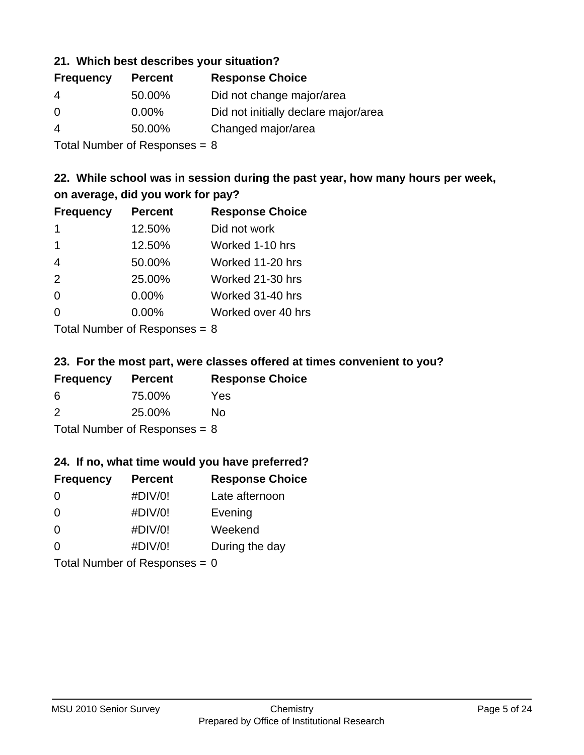### **21. Which best describes your situation?**

| <b>Frequency</b> | <b>Percent</b> | <b>Response Choice</b>               |
|------------------|----------------|--------------------------------------|
| -4               | 50.00%         | Did not change major/area            |
| $\Omega$         | $0.00\%$       | Did not initially declare major/area |
| 4                | 50.00%         | Changed major/area                   |
|                  |                |                                      |

Total Number of Responses = 8

## **22. While school was in session during the past year, how many hours per week, on average, did you work for pay?**

| <b>Frequency</b> | <b>Percent</b> | <b>Response Choice</b> |
|------------------|----------------|------------------------|
| -1               | 12.50%         | Did not work           |
| 1                | 12.50%         | Worked 1-10 hrs        |
| $\overline{4}$   | 50.00%         | Worked 11-20 hrs       |
| 2                | 25.00%         | Worked 21-30 hrs       |
| $\Omega$         | 0.00%          | Worked 31-40 hrs       |
| $\Omega$         | 0.00%          | Worked over 40 hrs     |
|                  |                |                        |

Total Number of Responses = 8

#### **23. For the most part, were classes offered at times convenient to you?**

| <b>Frequency</b>                | <b>Percent</b> | <b>Response Choice</b> |
|---------------------------------|----------------|------------------------|
| 6                               | 75.00%         | <b>Yes</b>             |
| $\mathcal{P}$                   | 25.00%         | Nο                     |
| Total Number of Responses = $8$ |                |                        |

#### **24. If no, what time would you have preferred?**

| <b>Frequency</b> | <b>Percent</b>                  | <b>Response Choice</b> |
|------------------|---------------------------------|------------------------|
| $\Omega$         | #DIV/0!                         | Late afternoon         |
| $\Omega$         | #DIV/0!                         | Evening                |
| 0                | #DIV/0!                         | Weekend                |
| $\Omega$         | #DIV/0!                         | During the day         |
|                  | Total Number of Responses = $0$ |                        |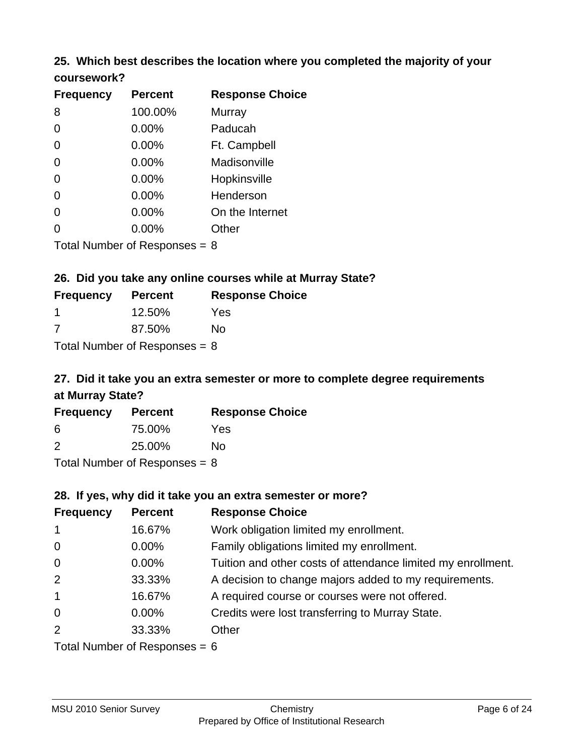### **25. Which best describes the location where you completed the majority of your coursework?**

| <b>Frequency</b>            | <b>Percent</b> | <b>Response Choice</b> |
|-----------------------------|----------------|------------------------|
| 8                           | 100.00%        | Murray                 |
| 0                           | 0.00%          | Paducah                |
| $\overline{0}$              | 0.00%          | Ft. Campbell           |
| $\overline{0}$              | 0.00%          | Madisonville           |
| 0                           | 0.00%          | Hopkinsville           |
| 0                           | 0.00%          | Henderson              |
| 0                           | 0.00%          | On the Internet        |
| 0                           | 0.00%          | Other                  |
| Tetal Niumber of Desperance |                | ົ                      |

Total Number of Responses = 8

## **26. Did you take any online courses while at Murray State?**

| <b>Frequency</b>                | <b>Percent</b> | <b>Response Choice</b> |  |  |
|---------------------------------|----------------|------------------------|--|--|
|                                 | 12.50%         | Yes                    |  |  |
| -7                              | 87.50%         | Nο                     |  |  |
| Total Number of Responses $= 8$ |                |                        |  |  |

# **27. Did it take you an extra semester or more to complete degree requirements at Murray State?**

| <b>Frequency</b>          | <b>Percent</b> | <b>Response Choice</b> |
|---------------------------|----------------|------------------------|
| 6                         | 75.00%         | Yes                    |
| $\mathcal{P}$             | 25.00%         | No                     |
| Total Number of Deepensee |                |                        |

Total Number of Responses = 8

#### **28. If yes, why did it take you an extra semester or more?**

| <b>Frequency</b>                | <b>Percent</b> | <b>Response Choice</b>                                       |  |
|---------------------------------|----------------|--------------------------------------------------------------|--|
| $\mathbf{1}$                    | 16.67%         | Work obligation limited my enrollment.                       |  |
| $\mathbf 0$                     | $0.00\%$       | Family obligations limited my enrollment.                    |  |
| $\overline{0}$                  | $0.00\%$       | Tuition and other costs of attendance limited my enrollment. |  |
| 2                               | 33.33%         | A decision to change majors added to my requirements.        |  |
| $\mathbf{1}$                    | 16.67%         | A required course or courses were not offered.               |  |
| $\overline{0}$                  | $0.00\%$       | Credits were lost transferring to Murray State.              |  |
| 2                               | 33.33%         | Other                                                        |  |
| Total Number of Reconnege $-$ 6 |                |                                                              |  |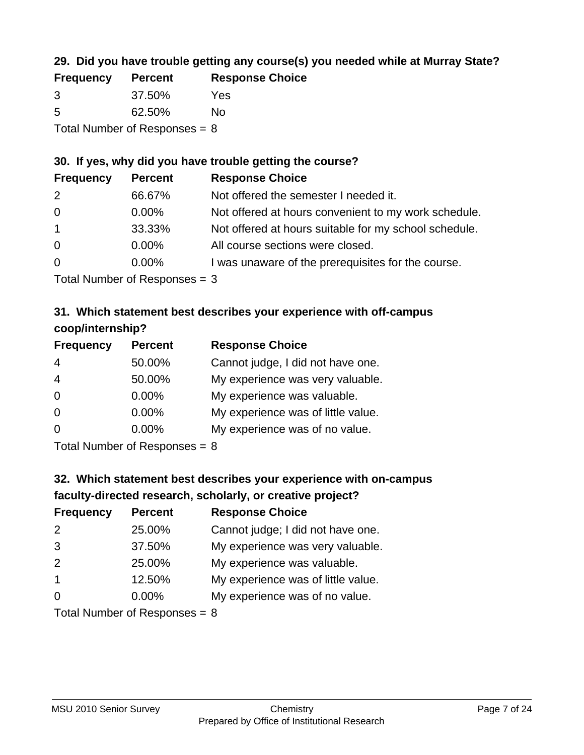## **29. Did you have trouble getting any course(s) you needed while at Murray State?**

| <b>Frequency</b>                | <b>Percent</b> | <b>Response Choice</b> |  |  |
|---------------------------------|----------------|------------------------|--|--|
| -3                              | 37.50%         | Yes                    |  |  |
| -5                              | 62.50%         | No.                    |  |  |
| Total Number of Responses $= 8$ |                |                        |  |  |

#### **30. If yes, why did you have trouble getting the course?**

| <b>Frequency</b> | <b>Percent</b> | <b>Response Choice</b>                                |
|------------------|----------------|-------------------------------------------------------|
| 2                | 66.67%         | Not offered the semester I needed it.                 |
| $\overline{0}$   | $0.00\%$       | Not offered at hours convenient to my work schedule.  |
| $\overline{1}$   | 33.33%         | Not offered at hours suitable for my school schedule. |
| $\overline{0}$   | $0.00\%$       | All course sections were closed.                      |
| $\overline{0}$   | $0.00\%$       | I was unaware of the prerequisites for the course.    |
|                  |                |                                                       |

Total Number of Responses = 3

## **31. Which statement best describes your experience with off-campus coop/internship?**

| <b>Frequency</b> | <b>Percent</b> | <b>Response Choice</b>             |
|------------------|----------------|------------------------------------|
| $\overline{4}$   | 50.00%         | Cannot judge, I did not have one.  |
| $\overline{4}$   | 50.00%         | My experience was very valuable.   |
| $\Omega$         | $0.00\%$       | My experience was valuable.        |
| $\Omega$         | $0.00\%$       | My experience was of little value. |
| $\Omega$         | 0.00%          | My experience was of no value.     |
|                  |                |                                    |

Total Number of Responses = 8

# **32. Which statement best describes your experience with on-campus faculty-directed research, scholarly, or creative project?**

| <b>Frequency</b> | <b>Percent</b>             | <b>Response Choice</b>             |
|------------------|----------------------------|------------------------------------|
| 2                | 25.00%                     | Cannot judge; I did not have one.  |
| 3                | 37.50%                     | My experience was very valuable.   |
| 2                | 25.00%                     | My experience was valuable.        |
| $\overline{1}$   | 12.50%                     | My experience was of little value. |
| $\Omega$         | $0.00\%$                   | My experience was of no value.     |
|                  | Total Number of Deepersoon |                                    |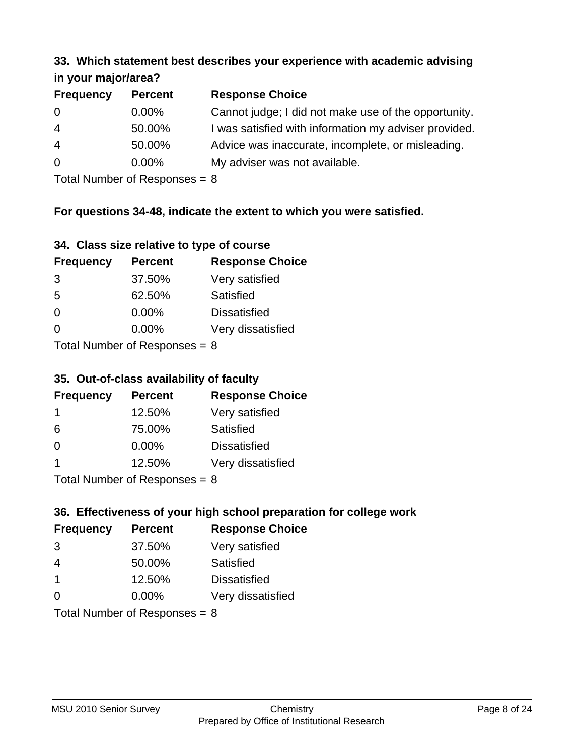#### **33. Which statement best describes your experience with academic advising in your major/area?**

| III your major/area? |                |                                                       |
|----------------------|----------------|-------------------------------------------------------|
| <b>Frequency</b>     | <b>Percent</b> | <b>Response Choice</b>                                |
| $\overline{0}$       | $0.00\%$       | Cannot judge; I did not make use of the opportunity.  |
| $\overline{4}$       | 50.00%         | I was satisfied with information my adviser provided. |
| $\overline{4}$       | 50.00%         | Advice was inaccurate, incomplete, or misleading.     |
| $\overline{0}$       | $0.00\%$       | My adviser was not available.                         |
|                      |                |                                                       |

Total Number of Responses = 8

## **For questions 34-48, indicate the extent to which you were satisfied.**

| 34. Class size relative to type of course |  |  |  |  |  |  |  |  |
|-------------------------------------------|--|--|--|--|--|--|--|--|
|-------------------------------------------|--|--|--|--|--|--|--|--|

| <b>Frequency</b>              | <b>Percent</b> | <b>Response Choice</b> |  |  |
|-------------------------------|----------------|------------------------|--|--|
| 3                             | 37.50%         | Very satisfied         |  |  |
| -5                            | 62.50%         | Satisfied              |  |  |
| $\Omega$                      | 0.00%          | <b>Dissatisfied</b>    |  |  |
| 0                             | 0.00%          | Very dissatisfied      |  |  |
| $Total Number of Denance = Q$ |                |                        |  |  |

Total Number of Responses  $= 8$ 

## **35. Out-of-class availability of faculty**

| <b>Frequency</b> | <b>Percent</b>             | <b>Response Choice</b> |
|------------------|----------------------------|------------------------|
|                  | 12.50%                     | Very satisfied         |
| 6                | 75.00%                     | Satisfied              |
| $\Omega$         | $0.00\%$                   | <b>Dissatisfied</b>    |
|                  | 12.50%                     | Very dissatisfied      |
|                  | Total Number of Deepersoon |                        |

Total Number of Responses = 8

## **36. Effectiveness of your high school preparation for college work**

| <b>Frequency</b>              | <b>Percent</b> | <b>Response Choice</b> |  |  |
|-------------------------------|----------------|------------------------|--|--|
| 3                             | 37.50%         | Very satisfied         |  |  |
| 4                             | 50.00%         | Satisfied              |  |  |
| $\mathbf 1$                   | 12.50%         | <b>Dissatisfied</b>    |  |  |
| $\Omega$                      | 0.00%          | Very dissatisfied      |  |  |
| $Total Number of Denance = 9$ |                |                        |  |  |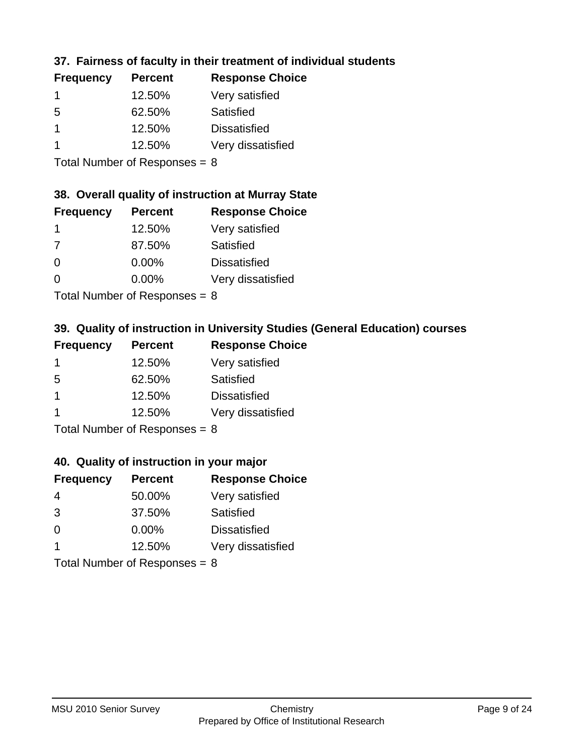## **37. Fairness of faculty in their treatment of individual students**

| <b>Frequency</b> | <b>Percent</b> | <b>Response Choice</b> |
|------------------|----------------|------------------------|
|                  | 12.50%         | Very satisfied         |
| 5                | 62.50%         | Satisfied              |
|                  | 12.50%         | <b>Dissatisfied</b>    |
|                  | 12.50%         | Very dissatisfied      |
|                  |                |                        |

Total Number of Responses = 8

#### **38. Overall quality of instruction at Murray State**

| <b>Frequency</b> | <b>Percent</b> | <b>Response Choice</b> |
|------------------|----------------|------------------------|
|                  | 12.50%         | Very satisfied         |
| 7                | 87.50%         | Satisfied              |
| $\Omega$         | 0.00%          | <b>Dissatisfied</b>    |
| ∩                | 0.00%          | Very dissatisfied      |
|                  |                |                        |

Total Number of Responses  $= 8$ 

## **39. Quality of instruction in University Studies (General Education) courses**

| <b>Frequency</b> | <b>Percent</b> | <b>Response Choice</b> |
|------------------|----------------|------------------------|
|                  | 12.50%         | Very satisfied         |
| 5                | 62.50%         | Satisfied              |
|                  | 12.50%         | <b>Dissatisfied</b>    |
|                  | 12.50%         | Very dissatisfied      |
|                  |                |                        |

Total Number of Responses  $= 8$ 

#### **40. Quality of instruction in your major**

| <b>Frequency</b> | <b>Percent</b>             | <b>Response Choice</b> |
|------------------|----------------------------|------------------------|
| 4                | 50.00%                     | Very satisfied         |
| 3                | 37.50%                     | Satisfied              |
| $\Omega$         | $0.00\%$                   | <b>Dissatisfied</b>    |
|                  | 12.50%                     | Very dissatisfied      |
|                  | Total Number of Denonone – |                        |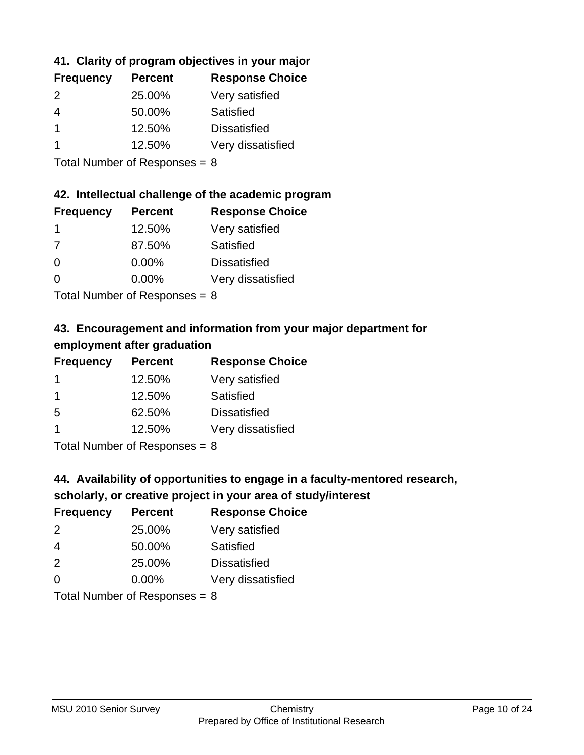## **41. Clarity of program objectives in your major**

| <b>Frequency</b> | <b>Percent</b> | <b>Response Choice</b> |
|------------------|----------------|------------------------|
| $\mathcal{P}$    | 25.00%         | Very satisfied         |
| 4                | 50.00%         | Satisfied              |
|                  | 12.50%         | <b>Dissatisfied</b>    |
|                  | 12.50%         | Very dissatisfied      |
|                  |                |                        |

Total Number of Responses = 8

#### **42. Intellectual challenge of the academic program**

| <b>Frequency</b> | <b>Percent</b> | <b>Response Choice</b> |
|------------------|----------------|------------------------|
|                  | 12.50%         | Very satisfied         |
| 7                | 87.50%         | Satisfied              |
| $\Omega$         | 0.00%          | <b>Dissatisfied</b>    |
| $\Omega$         | 0.00%          | Very dissatisfied      |
|                  |                |                        |

Total Number of Responses  $= 8$ 

## **43. Encouragement and information from your major department for employment after graduation**

| <b>Frequency</b> | <b>Percent</b> | <b>Response Choice</b> |
|------------------|----------------|------------------------|
| 1                | 12.50%         | Very satisfied         |
| -1               | 12.50%         | Satisfied              |
| 5                | 62.50%         | <b>Dissatisfied</b>    |
|                  | 12.50%         | Very dissatisfied      |
|                  |                |                        |

Total Number of Responses = 8

## **44. Availability of opportunities to engage in a faculty-mentored research,**

### **scholarly, or creative project in your area of study/interest**

| <b>Frequency</b> | <b>Percent</b> | <b>Response Choice</b> |
|------------------|----------------|------------------------|
| $\mathcal{P}$    | 25.00%         | Very satisfied         |
| 4                | 50.00%         | Satisfied              |
| $\mathcal{P}$    | 25.00%         | <b>Dissatisfied</b>    |
| $\Omega$         | 0.00%          | Very dissatisfied      |
|                  |                |                        |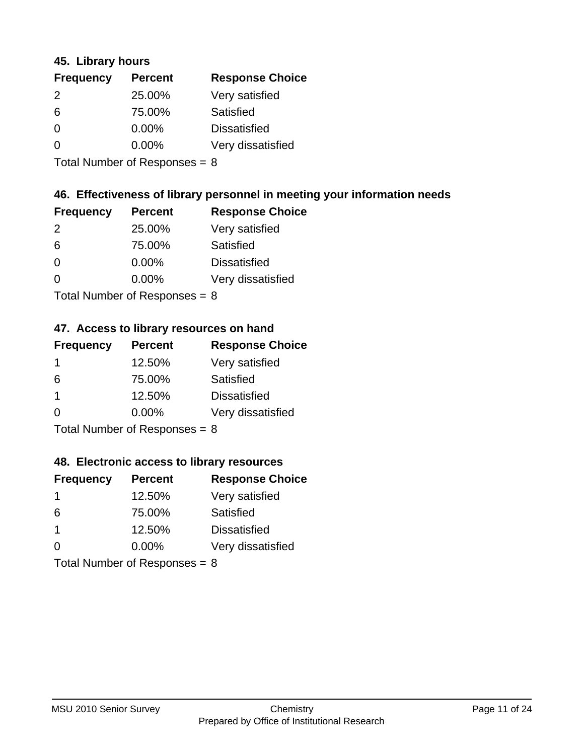#### **45. Library hours**

| <b>Frequency</b> | <b>Percent</b> | <b>Response Choice</b> |
|------------------|----------------|------------------------|
| 2                | 25.00%         | Very satisfied         |
| 6                | 75.00%         | Satisfied              |
| 0                | $0.00\%$       | <b>Dissatisfied</b>    |
| 0                | 0.00%          | Very dissatisfied      |
|                  |                |                        |

Total Number of Responses  $= 8$ 

#### **46. Effectiveness of library personnel in meeting your information needs**

| <b>Frequency</b> | <b>Percent</b> | <b>Response Choice</b> |
|------------------|----------------|------------------------|
| $\mathcal{P}$    | 25.00%         | Very satisfied         |
| 6                | 75.00%         | Satisfied              |
| ∩                | $0.00\%$       | <b>Dissatisfied</b>    |
| ∩                | $0.00\%$       | Very dissatisfied      |
|                  |                |                        |

Total Number of Responses = 8

## **47. Access to library resources on hand**

| <b>Frequency</b> | <b>Percent</b>            | <b>Response Choice</b> |
|------------------|---------------------------|------------------------|
|                  | 12.50%                    | Very satisfied         |
| 6                | 75.00%                    | Satisfied              |
| -1               | 12.50%                    | <b>Dissatisfied</b>    |
| ∩                | 0.00%                     | Very dissatisfied      |
|                  | Total Number of Deepensee |                        |

Total Number of Responses = 8

#### **48. Electronic access to library resources**

| <b>Frequency</b>                | <b>Percent</b> | <b>Response Choice</b> |
|---------------------------------|----------------|------------------------|
|                                 | 12.50%         | Very satisfied         |
| 6                               | 75.00%         | Satisfied              |
| -1                              | 12.50%         | <b>Dissatisfied</b>    |
| $\Omega$                        | $0.00\%$       | Very dissatisfied      |
| Total Number of Responses = $8$ |                |                        |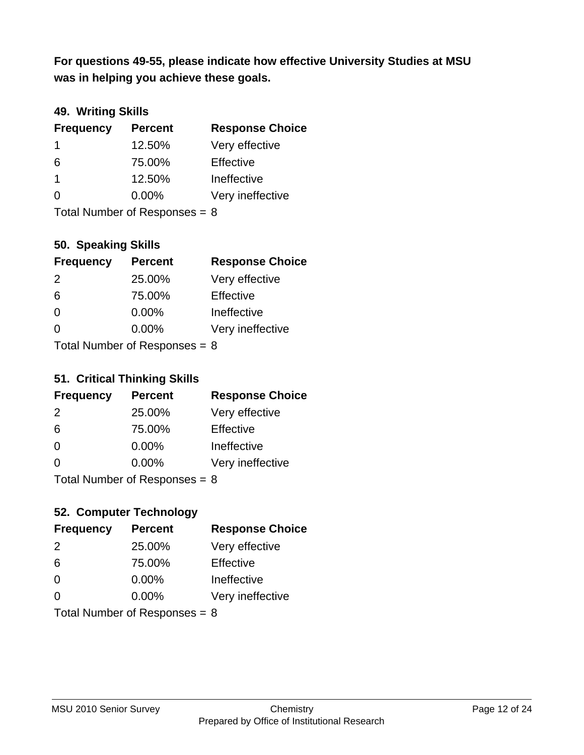**was in helping you achieve these goals. For questions 49-55, please indicate how effective University Studies at MSU** 

## **49. Writing Skills**

| <b>Frequency</b>                | <b>Percent</b> | <b>Response Choice</b> |
|---------------------------------|----------------|------------------------|
| -1                              | 12.50%         | Very effective         |
| 6                               | 75.00%         | Effective              |
| -1                              | 12.50%         | Ineffective            |
| $\Omega$                        | $0.00\%$       | Very ineffective       |
| Total Number of Responses = $8$ |                |                        |

## **50. Speaking Skills**

| <b>Frequency</b>           | <b>Percent</b> | <b>Response Choice</b> |
|----------------------------|----------------|------------------------|
| $\mathcal{P}$              | 25.00%         | Very effective         |
| 6                          | 75.00%         | Effective              |
| $\Omega$                   | 0.00%          | Ineffective            |
| 0                          | 0.00%          | Very ineffective       |
| Total Number of Denonone – |                |                        |

Total Number of Responses = 8

## **51. Critical Thinking Skills**

| <b>Frequency</b>          | <b>Percent</b> | <b>Response Choice</b> |
|---------------------------|----------------|------------------------|
| $\mathcal{P}$             | 25.00%         | Very effective         |
| 6                         | 75.00%         | Effective              |
| $\Omega$                  | 0.00%          | Ineffective            |
| ∩                         | 0.00%          | Very ineffective       |
| Total Number of Desponses |                |                        |

Total Number of Responses = 8

## **52. Computer Technology**

| <b>Frequency</b>                | <b>Percent</b> | <b>Response Choice</b> |
|---------------------------------|----------------|------------------------|
| $\mathcal{P}$                   | 25.00%         | Very effective         |
| 6                               | 75.00%         | Effective              |
| $\Omega$                        | $0.00\%$       | Ineffective            |
| $\Omega$                        | 0.00%          | Very ineffective       |
| Total Number of Responses = $8$ |                |                        |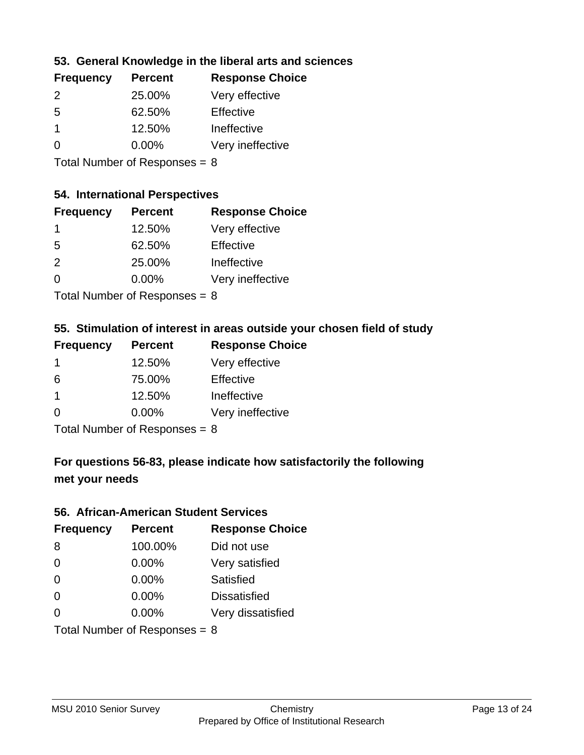## **53. General Knowledge in the liberal arts and sciences**

| <b>Frequency</b> | <b>Percent</b> | <b>Response Choice</b> |
|------------------|----------------|------------------------|
| $\mathcal{P}$    | 25.00%         | Very effective         |
| .5               | 62.50%         | Effective              |
|                  | 12.50%         | Ineffective            |
| ∩                | $0.00\%$       | Very ineffective       |
|                  |                |                        |

Total Number of Responses = 8

#### **54. International Perspectives**

| <b>Frequency</b> | <b>Percent</b> | <b>Response Choice</b> |
|------------------|----------------|------------------------|
| $\mathbf 1$      | 12.50%         | Very effective         |
| -5               | 62.50%         | Effective              |
| $\mathcal{P}$    | 25.00%         | Ineffective            |
| ∩                | 0.00%          | Very ineffective       |
|                  |                |                        |

Total Number of Responses  $= 8$ 

## **55. Stimulation of interest in areas outside your chosen field of study**

| <b>Frequency</b> | <b>Percent</b>            | <b>Response Choice</b> |
|------------------|---------------------------|------------------------|
|                  | 12.50%                    | Very effective         |
| 6                | 75.00%                    | Effective              |
| -1               | 12.50%                    | Ineffective            |
| $\Omega$         | 0.00%                     | Very ineffective       |
|                  | Total Number of Deepensee |                        |

Total Number of Responses = 8

## **For questions 56-83, please indicate how satisfactorily the following met your needs**

#### **56. African-American Student Services**

| <b>Frequency</b> | <b>Percent</b>                  | <b>Response Choice</b> |
|------------------|---------------------------------|------------------------|
| 8                | 100.00%                         | Did not use            |
| $\Omega$         | 0.00%                           | Very satisfied         |
| $\Omega$         | 0.00%                           | <b>Satisfied</b>       |
| $\Omega$         | $0.00\%$                        | <b>Dissatisfied</b>    |
| $\Omega$         | 0.00%                           | Very dissatisfied      |
|                  | Total Number of Responses = $8$ |                        |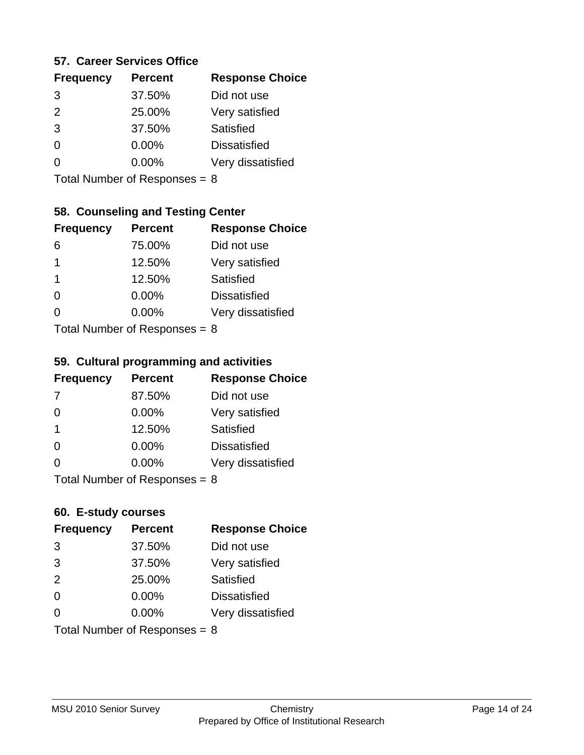#### **57. Career Services Office**

| <b>Frequency</b> | <b>Percent</b> | <b>Response Choice</b> |
|------------------|----------------|------------------------|
| 3                | 37.50%         | Did not use            |
| 2                | 25.00%         | Very satisfied         |
| 3                | 37.50%         | Satisfied              |
|                  | $0.00\%$       | <b>Dissatisfied</b>    |
|                  | $0.00\%$       | Very dissatisfied      |
|                  |                |                        |

Total Number of Responses = 8

## **58. Counseling and Testing Center**

| <b>Frequency</b>          | <b>Percent</b> | <b>Response Choice</b> |
|---------------------------|----------------|------------------------|
| 6                         | 75.00%         | Did not use            |
| 1                         | 12.50%         | Very satisfied         |
| 1                         | 12.50%         | <b>Satisfied</b>       |
| ∩                         | 0.00%          | <b>Dissatisfied</b>    |
| ∩                         | 0.00%          | Very dissatisfied      |
| Total Number of Desponses |                |                        |

Total Number of Responses = 8

#### **59. Cultural programming and activities**

| <b>Frequency</b>                | <b>Percent</b> | <b>Response Choice</b> |
|---------------------------------|----------------|------------------------|
| 7                               | 87.50%         | Did not use            |
| $\Omega$                        | 0.00%          | Very satisfied         |
| -1                              | 12.50%         | Satisfied              |
| $\Omega$                        | $0.00\%$       | <b>Dissatisfied</b>    |
| $\Omega$                        | $0.00\%$       | Very dissatisfied      |
| Total Number of Responses = $8$ |                |                        |

#### **60. E-study courses**

| <b>Frequency</b> | <b>Percent</b>                  | <b>Response Choice</b> |
|------------------|---------------------------------|------------------------|
| 3                | 37.50%                          | Did not use            |
| 3                | 37.50%                          | Very satisfied         |
| 2                | 25.00%                          | Satisfied              |
| $\Omega$         | 0.00%                           | <b>Dissatisfied</b>    |
| ∩                | $0.00\%$                        | Very dissatisfied      |
|                  | Total Number of Responses = $8$ |                        |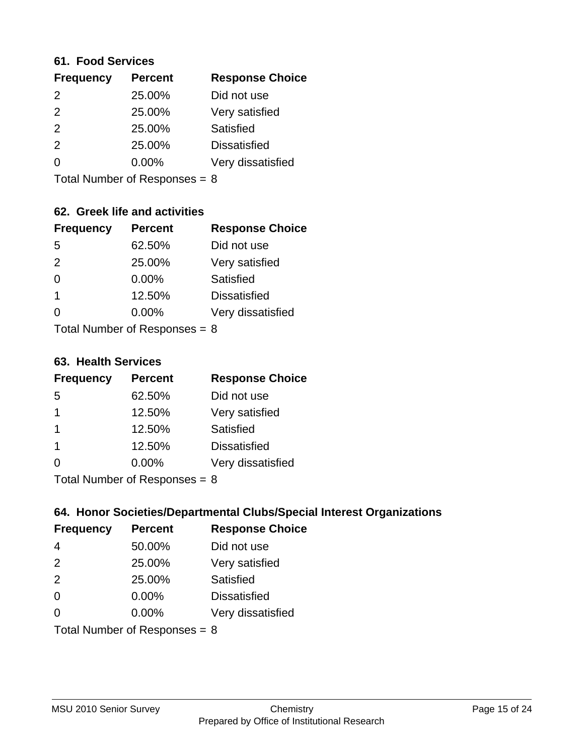#### **61. Food Services**

| <b>Frequency</b> | <b>Percent</b> | <b>Response Choice</b> |
|------------------|----------------|------------------------|
| 2                | 25.00%         | Did not use            |
| $\mathcal{P}$    | 25.00%         | Very satisfied         |
| 2                | 25.00%         | Satisfied              |
| 2                | 25.00%         | <b>Dissatisfied</b>    |
| ∩                | $0.00\%$       | Very dissatisfied      |
|                  |                |                        |

Total Number of Responses = 8

## **62. Greek life and activities**

| <b>Frequency</b>                | <b>Percent</b> | <b>Response Choice</b> |
|---------------------------------|----------------|------------------------|
| 5                               | 62.50%         | Did not use            |
| 2                               | 25.00%         | Very satisfied         |
| $\Omega$                        | 0.00%          | Satisfied              |
| 1                               | 12.50%         | <b>Dissatisfied</b>    |
|                                 | $0.00\%$       | Very dissatisfied      |
| Total Number of Responses = $8$ |                |                        |

**63. Health Services**

| <b>Frequency</b> | <b>Percent</b> | <b>Response Choice</b> |
|------------------|----------------|------------------------|
| 5                | 62.50%         | Did not use            |
|                  | 12.50%         | Very satisfied         |
| $\mathbf 1$      | 12.50%         | <b>Satisfied</b>       |
| $\mathbf 1$      | 12.50%         | <b>Dissatisfied</b>    |
| $\Omega$         | 0.00%          | Very dissatisfied      |
|                  |                |                        |

Total Number of Responses = 8

## **64. Honor Societies/Departmental Clubs/Special Interest Organizations**

| <b>Frequency</b>                | <b>Percent</b> | <b>Response Choice</b> |
|---------------------------------|----------------|------------------------|
| $\overline{4}$                  | 50.00%         | Did not use            |
| 2                               | 25.00%         | Very satisfied         |
| 2                               | 25.00%         | Satisfied              |
| $\Omega$                        | 0.00%          | <b>Dissatisfied</b>    |
| $\Omega$                        | 0.00%          | Very dissatisfied      |
| Total Number of Responses = $8$ |                |                        |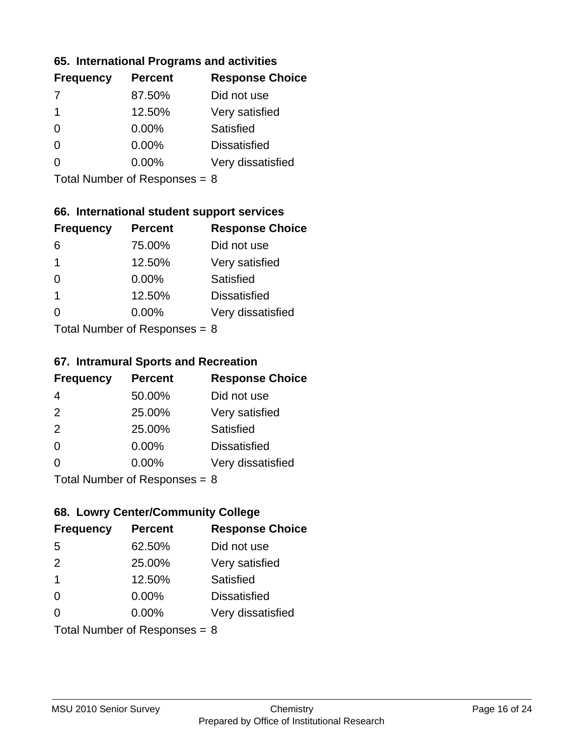### **65. International Programs and activities**

| <b>Percent</b> | <b>Response Choice</b> |
|----------------|------------------------|
| 87.50%         | Did not use            |
| 12.50%         | Very satisfied         |
| $0.00\%$       | Satisfied              |
| $0.00\%$       | <b>Dissatisfied</b>    |
| $0.00\%$       | Very dissatisfied      |
|                |                        |

Total Number of Responses = 8

## **66. International student support services**

| <b>Frequency</b> | <b>Percent</b>            | <b>Response Choice</b> |
|------------------|---------------------------|------------------------|
| 6                | 75.00%                    | Did not use            |
| 1                | 12.50%                    | Very satisfied         |
| $\Omega$         | $0.00\%$                  | Satisfied              |
| 1                | 12.50%                    | <b>Dissatisfied</b>    |
| 0                | $0.00\%$                  | Very dissatisfied      |
|                  | Total Number of DoEROR 0. |                        |

Total Number of Responses = 8

#### **67. Intramural Sports and Recreation**

| <b>Frequency</b> | <b>Percent</b>                         | <b>Response Choice</b> |
|------------------|----------------------------------------|------------------------|
| 4                | 50.00%                                 | Did not use            |
| 2                | 25.00%                                 | Very satisfied         |
| 2                | 25.00%                                 | Satisfied              |
| $\Omega$         | $0.00\%$                               | <b>Dissatisfied</b>    |
| $\Omega$         | $0.00\%$                               | Very dissatisfied      |
|                  | $Total Number of Denonce -\frac{1}{2}$ |                        |

Total Number of Responses = 8

## **68. Lowry Center/Community College**

| <b>Frequency</b>                | <b>Percent</b> | <b>Response Choice</b> |
|---------------------------------|----------------|------------------------|
| 5                               | 62.50%         | Did not use            |
| 2                               | 25.00%         | Very satisfied         |
| $\overline{\mathbf{1}}$         | 12.50%         | Satisfied              |
| $\Omega$                        | 0.00%          | <b>Dissatisfied</b>    |
| ∩                               | $0.00\%$       | Very dissatisfied      |
| Total Number of Responses = $8$ |                |                        |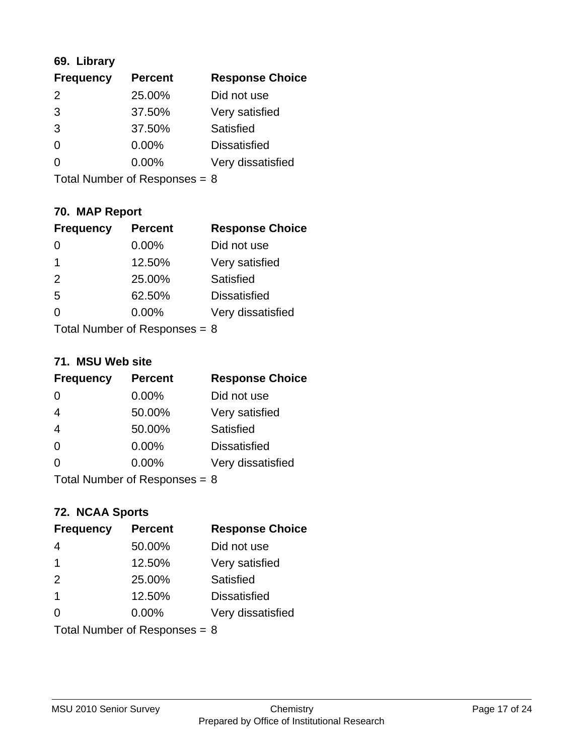## **69. Library**

| <b>Frequency</b> | <b>Percent</b> | <b>Response Choice</b> |
|------------------|----------------|------------------------|
| $\mathcal{P}$    | 25.00%         | Did not use            |
| 3                | 37.50%         | Very satisfied         |
| 3                | 37.50%         | Satisfied              |
| $\Omega$         | 0.00%          | <b>Dissatisfied</b>    |
| O                | $0.00\%$       | Very dissatisfied      |
|                  |                |                        |

Total Number of Responses = 8

## **70. MAP Report**

| <b>Frequency</b>                | <b>Percent</b> | <b>Response Choice</b> |
|---------------------------------|----------------|------------------------|
|                                 | 0.00%          | Did not use            |
| 1                               | 12.50%         | Very satisfied         |
| 2                               | 25.00%         | Satisfied              |
| 5                               | 62.50%         | <b>Dissatisfied</b>    |
| 0                               | $0.00\%$       | Very dissatisfied      |
| Total Number of Responses $= 8$ |                |                        |

#### **71. MSU Web site**

| <b>Frequency</b>                | <b>Percent</b> | <b>Response Choice</b> |
|---------------------------------|----------------|------------------------|
| $\Omega$                        | 0.00%          | Did not use            |
| $\overline{4}$                  | 50.00%         | Very satisfied         |
| $\overline{4}$                  | 50.00%         | Satisfied              |
| $\Omega$                        | 0.00%          | <b>Dissatisfied</b>    |
| $\Omega$                        | 0.00%          | Very dissatisfied      |
| Total Number of Responses = $8$ |                |                        |

## **72. NCAA Sports**

| <b>Frequency</b> | <b>Percent</b>                  | <b>Response Choice</b> |
|------------------|---------------------------------|------------------------|
| 4                | 50.00%                          | Did not use            |
| -1               | 12.50%                          | Very satisfied         |
| 2                | 25.00%                          | Satisfied              |
| -1               | 12.50%                          | <b>Dissatisfied</b>    |
| ∩                | $0.00\%$                        | Very dissatisfied      |
|                  | Total Number of Responses = $8$ |                        |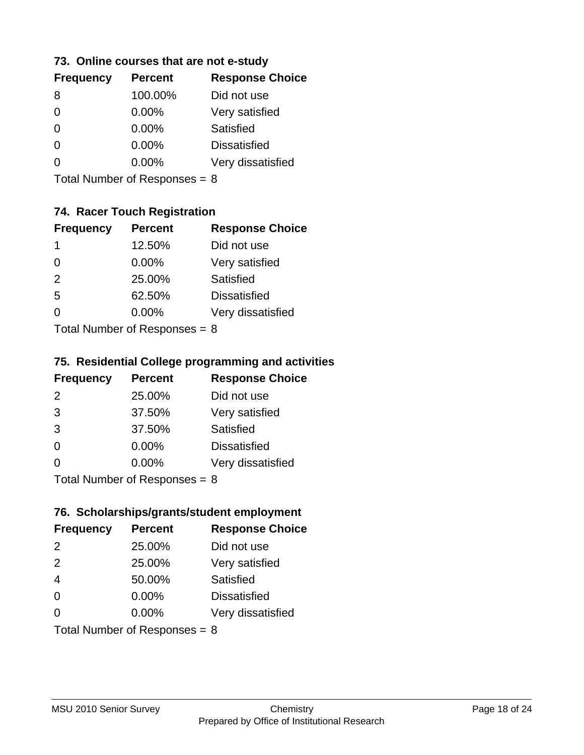### **73. Online courses that are not e-study**

| <b>Percent</b> | <b>Response Choice</b> |
|----------------|------------------------|
| 100.00%        | Did not use            |
| $0.00\%$       | Very satisfied         |
| $0.00\%$       | Satisfied              |
| $0.00\%$       | <b>Dissatisfied</b>    |
| $0.00\%$       | Very dissatisfied      |
|                |                        |

Total Number of Responses = 8

## **74. Racer Touch Registration**

| <b>Frequency</b>          | <b>Percent</b> | <b>Response Choice</b> |
|---------------------------|----------------|------------------------|
| 1                         | 12.50%         | Did not use            |
| 0                         | 0.00%          | Very satisfied         |
| 2                         | 25.00%         | Satisfied              |
| 5                         | 62.50%         | <b>Dissatisfied</b>    |
| $\Omega$                  | 0.00%          | Very dissatisfied      |
| Total Number of Desponses |                |                        |

Total Number of Responses = 8

## **75. Residential College programming and activities**

| <b>Frequency</b> | <b>Percent</b>            | <b>Response Choice</b> |
|------------------|---------------------------|------------------------|
| 2                | 25.00%                    | Did not use            |
| 3                | 37.50%                    | Very satisfied         |
| 3                | 37.50%                    | Satisfied              |
| $\Omega$         | 0.00%                     | <b>Dissatisfied</b>    |
| $\Omega$         | 0.00%                     | Very dissatisfied      |
|                  | Total Number of Desponses |                        |

Total Number of Responses = 8

## **76. Scholarships/grants/student employment**

| <b>Frequency</b> | <b>Percent</b>                  | <b>Response Choice</b> |
|------------------|---------------------------------|------------------------|
| $\mathcal{P}$    | 25.00%                          | Did not use            |
| 2                | 25.00%                          | Very satisfied         |
| $\overline{4}$   | 50.00%                          | Satisfied              |
| $\Omega$         | 0.00%                           | <b>Dissatisfied</b>    |
| $\Omega$         | $0.00\%$                        | Very dissatisfied      |
|                  | Total Number of Responses = $8$ |                        |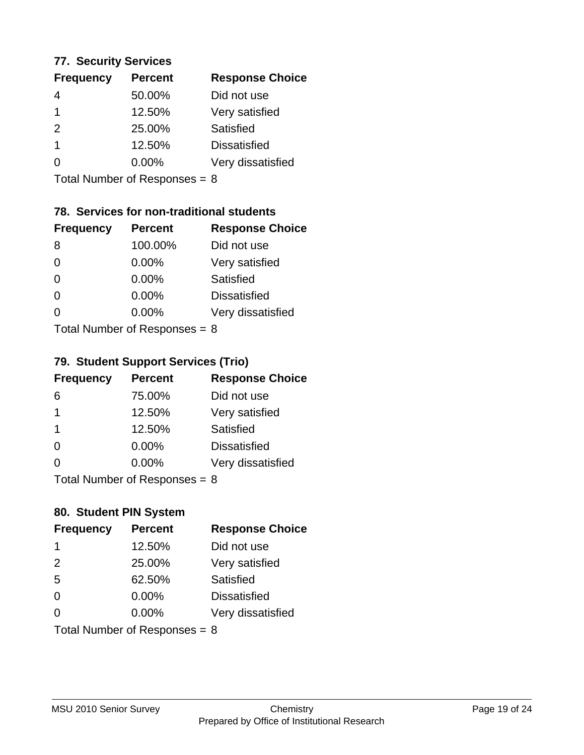#### **77. Security Services**

| <b>Frequency</b> | <b>Percent</b> | <b>Response Choice</b> |
|------------------|----------------|------------------------|
|                  | 50.00%         | Did not use            |
|                  | 12.50%         | Very satisfied         |
| 2                | 25.00%         | Satisfied              |
|                  | 12.50%         | <b>Dissatisfied</b>    |
|                  | $0.00\%$       | Very dissatisfied      |
|                  |                |                        |

Total Number of Responses = 8

## **78. Services for non-traditional students**

| <b>Frequency</b> | <b>Percent</b>                 | <b>Response Choice</b> |
|------------------|--------------------------------|------------------------|
| 8                | 100.00%                        | Did not use            |
| $\Omega$         | 0.00%                          | Very satisfied         |
| $\Omega$         | $0.00\%$                       | Satisfied              |
| $\Omega$         | 0.00%                          | <b>Dissatisfied</b>    |
| 0                | 0.00%                          | Very dissatisfied      |
|                  | $Total Number of DoEROR 22 - $ |                        |

Total Number of Responses = 8

#### **79. Student Support Services (Trio)**

| <b>Frequency</b>        | <b>Percent</b>            | <b>Response Choice</b> |
|-------------------------|---------------------------|------------------------|
| 6                       | 75.00%                    | Did not use            |
| $\overline{\mathbf{1}}$ | 12.50%                    | Very satisfied         |
| -1                      | 12.50%                    | Satisfied              |
| $\Omega$                | 0.00%                     | <b>Dissatisfied</b>    |
| $\Omega$                | 0.00%                     | Very dissatisfied      |
|                         | Total Number of Desponses |                        |

Total Number of Responses = 8

## **80. Student PIN System**

| <b>Frequency</b>                | <b>Percent</b> | <b>Response Choice</b> |
|---------------------------------|----------------|------------------------|
| -1                              | 12.50%         | Did not use            |
| 2                               | 25.00%         | Very satisfied         |
| 5                               | 62.50%         | Satisfied              |
| $\Omega$                        | $0.00\%$       | <b>Dissatisfied</b>    |
| 0                               | $0.00\%$       | Very dissatisfied      |
| Total Number of Responses = $8$ |                |                        |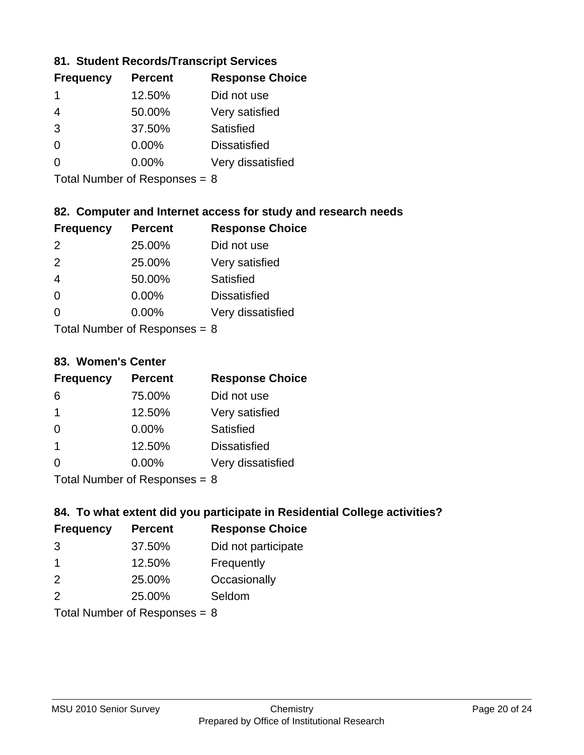## **81. Student Records/Transcript Services**

| <b>Frequency</b> | <b>Percent</b> | <b>Response Choice</b> |
|------------------|----------------|------------------------|
| 1                | 12.50%         | Did not use            |
|                  | 50.00%         | Very satisfied         |
| 3                | 37.50%         | Satisfied              |
| ∩                | $0.00\%$       | <b>Dissatisfied</b>    |
|                  | $0.00\%$       | Very dissatisfied      |

Total Number of Responses = 8

## **82. Computer and Internet access for study and research needs**

| <b>Frequency</b> | <b>Percent</b> | <b>Response Choice</b> |
|------------------|----------------|------------------------|
| $\mathcal{P}$    | 25.00%         | Did not use            |
| $\mathcal{P}$    | 25.00%         | Very satisfied         |
| $\overline{4}$   | 50.00%         | <b>Satisfied</b>       |
| $\Omega$         | 0.00%          | <b>Dissatisfied</b>    |
| 0                | 0.00%          | Very dissatisfied      |
|                  |                |                        |

Total Number of Responses  $= 8$ 

#### **83. Women's Center**

| <b>Frequency</b> | <b>Percent</b> | <b>Response Choice</b> |
|------------------|----------------|------------------------|
| 6                | 75.00%         | Did not use            |
| 1                | 12.50%         | Very satisfied         |
| $\Omega$         | $0.00\%$       | Satisfied              |
| -1               | 12.50%         | <b>Dissatisfied</b>    |
| $\Omega$         | 0.00%          | Very dissatisfied      |
|                  |                |                        |

Total Number of Responses = 8

## **84. To what extent did you participate in Residential College activities?**

| <b>Frequency</b> | <b>Percent</b>                                                                                                  | <b>Response Choice</b> |
|------------------|-----------------------------------------------------------------------------------------------------------------|------------------------|
| 3                | 37.50%                                                                                                          | Did not participate    |
| -1               | 12.50%                                                                                                          | Frequently             |
| 2                | 25.00%                                                                                                          | Occasionally           |
| $\mathcal{P}$    | 25.00%                                                                                                          | Seldom                 |
|                  | The Little and the Little Communication of the Communication of the Communication of the Communication of the U |                        |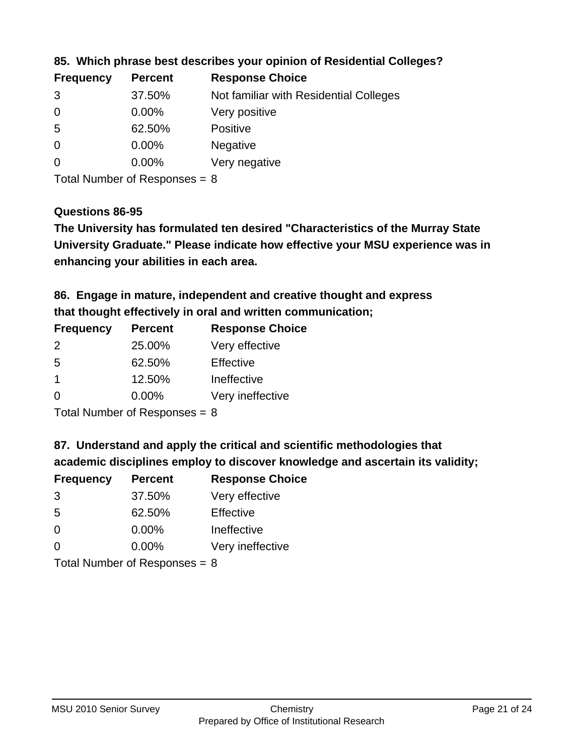| <b>Frequency</b> | <b>Percent</b> | <b>Response Choice</b>                 |
|------------------|----------------|----------------------------------------|
| 3                | 37.50%         | Not familiar with Residential Colleges |
| $\overline{0}$   | 0.00%          | Very positive                          |
| -5               | 62.50%         | <b>Positive</b>                        |
| $\overline{0}$   | 0.00%          | <b>Negative</b>                        |
| -0               | $0.00\%$       | Very negative                          |
|                  |                |                                        |

**85. Which phrase best describes your opinion of Residential Colleges?**

Total Number of Responses = 8

#### **Questions 86-95**

**University Graduate." Please indicate how effective your MSU experience was in The University has formulated ten desired "Characteristics of the Murray State enhancing your abilities in each area.**

**86. Engage in mature, independent and creative thought and express that thought effectively in oral and written communication;**

| <b>Frequency</b> | <b>Percent</b> | <b>Response Choice</b> |
|------------------|----------------|------------------------|
| $\mathcal{P}$    | 25.00%         | Very effective         |
| .5               | 62.50%         | Effective              |
|                  | 12.50%         | Ineffective            |
| $\Omega$         | $0.00\%$       | Very ineffective       |

Total Number of Responses = 8

**87. Understand and apply the critical and scientific methodologies that** 

**academic disciplines employ to discover knowledge and ascertain its validity;**

| <b>Frequency</b> | <b>Percent</b> | <b>Response Choice</b> |
|------------------|----------------|------------------------|
| 3                | 37.50%         | Very effective         |
| .5               | 62.50%         | Effective              |
| $\Omega$         | 0.00%          | Ineffective            |
| ∩                | 0.00%          | Very ineffective       |
|                  |                |                        |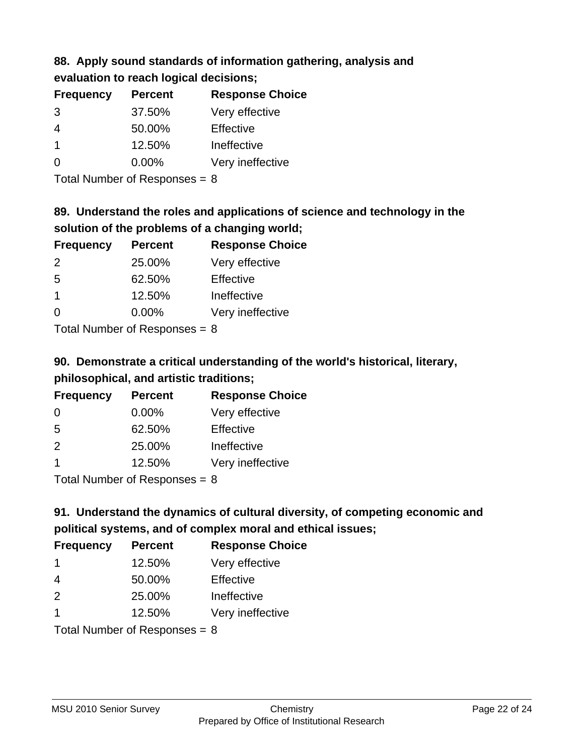## **88. Apply sound standards of information gathering, analysis and evaluation to reach logical decisions;**

| <b>Frequency</b> | <b>Percent</b> | <b>Response Choice</b> |
|------------------|----------------|------------------------|
| 3                | 37.50%         | Very effective         |
| 4                | 50.00%         | Effective              |
| -1               | 12.50%         | Ineffective            |
| $\Omega$         | 0.00%          | Very ineffective       |
|                  |                |                        |

Total Number of Responses = 8

# **89. Understand the roles and applications of science and technology in the solution of the problems of a changing world;**

| <b>Frequency</b> | <b>Percent</b> | <b>Response Choice</b> |
|------------------|----------------|------------------------|
| 2                | 25.00%         | Very effective         |
| .5               | 62.50%         | Effective              |
| $\mathbf 1$      | 12.50%         | Ineffective            |
| $\Omega$         | 0.00%          | Very ineffective       |
|                  |                |                        |

Total Number of Responses  $= 8$ 

# **90. Demonstrate a critical understanding of the world's historical, literary, philosophical, and artistic traditions;**

| <b>Frequency</b> | <b>Percent</b> | <b>Response Choice</b> |
|------------------|----------------|------------------------|
| $\Omega$         | 0.00%          | Very effective         |
| 5                | 62.50%         | Effective              |
| 2                | 25.00%         | Ineffective            |
| -1               | 12.50%         | Very ineffective       |
|                  |                |                        |

Total Number of Responses = 8

# **91. Understand the dynamics of cultural diversity, of competing economic and political systems, and of complex moral and ethical issues;**

| <b>Frequency</b> | <b>Percent</b>                  | <b>Response Choice</b> |
|------------------|---------------------------------|------------------------|
| -1               | 12.50%                          | Very effective         |
| $\overline{4}$   | 50.00%                          | Effective              |
| 2                | 25.00%                          | Ineffective            |
| $\overline{1}$   | 12.50%                          | Very ineffective       |
|                  | Total Number of Responses = $8$ |                        |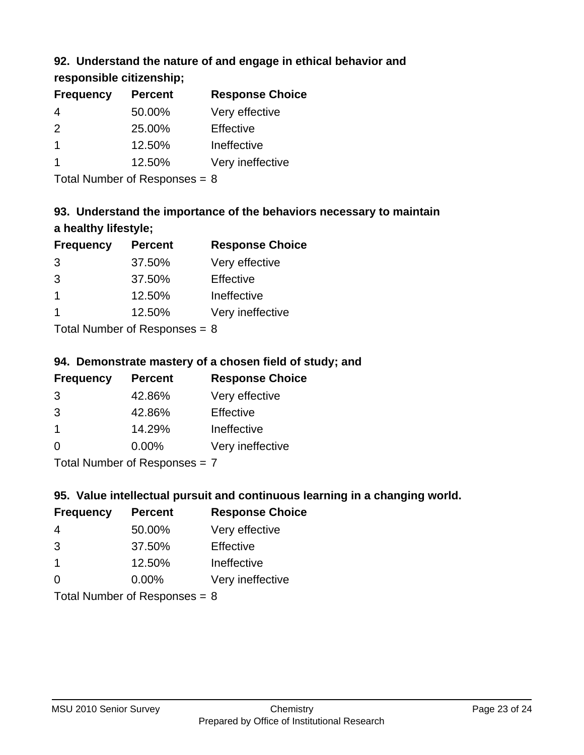## **92. Understand the nature of and engage in ethical behavior and**

**responsible citizenship;**

| <b>Percent</b> | <b>Response Choice</b> |
|----------------|------------------------|
| 50.00%         | Very effective         |
| 25.00%         | Effective              |
| 12.50%         | Ineffective            |
| 12.50%         | Very ineffective       |
|                |                        |

Total Number of Responses = 8

# **93. Understand the importance of the behaviors necessary to maintain a healthy lifestyle;**

| <b>Frequency</b> | <b>Percent</b>                                                | <b>Response Choice</b> |
|------------------|---------------------------------------------------------------|------------------------|
| 3                | 37.50%                                                        | Very effective         |
| 3                | 37.50%                                                        | Effective              |
| -1               | 12.50%                                                        | Ineffective            |
|                  | 12.50%                                                        | Very ineffective       |
|                  | $\tau$ and $\tau$ and $\tau$ and $\tau$ and $\tau$ and $\tau$ |                        |

Total Number of Responses  $= 8$ 

## **94. Demonstrate mastery of a chosen field of study; and**

| <b>Frequency</b> | <b>Percent</b> | <b>Response Choice</b> |
|------------------|----------------|------------------------|
| 3                | 42.86%         | Very effective         |
| 3                | 42.86%         | Effective              |
|                  | 14.29%         | Ineffective            |
| ∩                | $0.00\%$       | Very ineffective       |
|                  |                |                        |

Total Number of Responses = 7

## **95. Value intellectual pursuit and continuous learning in a changing world.**

| <b>Frequency</b> | <b>Percent</b> | <b>Response Choice</b> |
|------------------|----------------|------------------------|
| 4                | 50.00%         | Very effective         |
| 3                | 37.50%         | Effective              |
| $\mathbf 1$      | 12.50%         | Ineffective            |
| $\Omega$         | 0.00%          | Very ineffective       |
|                  |                |                        |